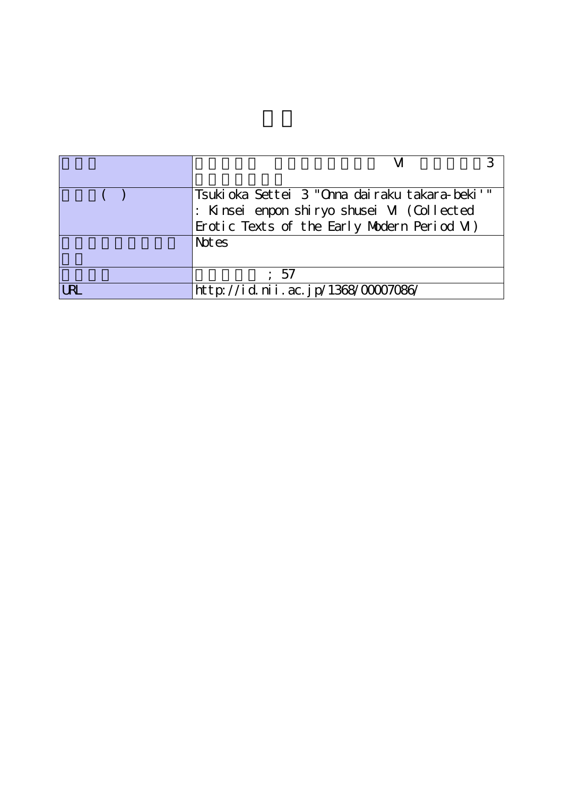|      | 'Tsukioka Settei 3 "Onna dairaku takara-beki'" |  |  |  |  |  |
|------|------------------------------------------------|--|--|--|--|--|
|      | : Kinsei enpon shiryo shusei M (Collected      |  |  |  |  |  |
|      | Erotic Texts of the Early Modern Period M)     |  |  |  |  |  |
|      | Not es                                         |  |  |  |  |  |
|      |                                                |  |  |  |  |  |
|      | : 57                                           |  |  |  |  |  |
| I RI | http://id.nii.ac.jp/1368/00007086/             |  |  |  |  |  |